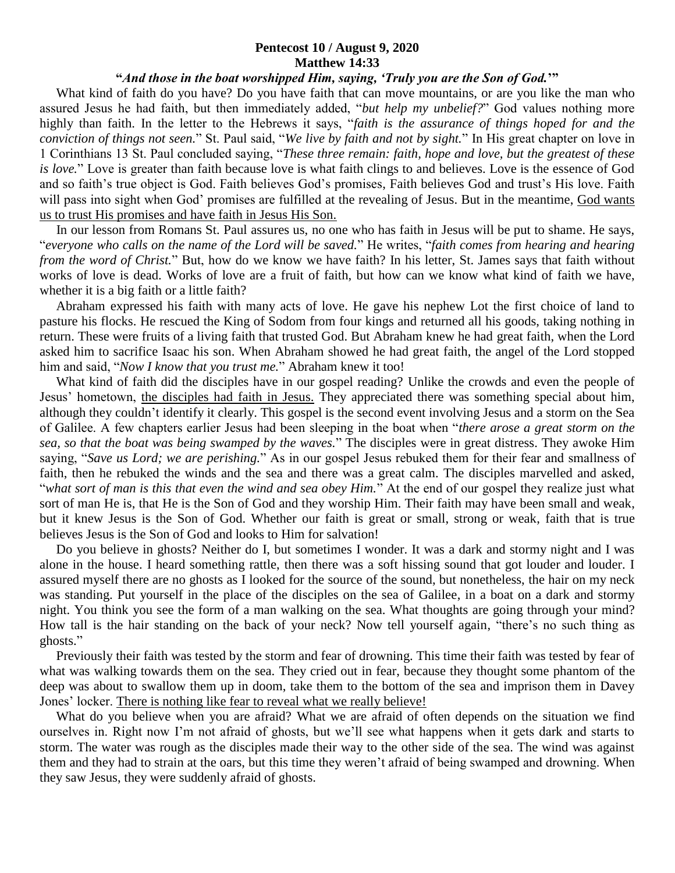## **Pentecost 10 / August 9, 2020 Matthew 14:33**

## **"***And those in the boat worshipped Him, saying, 'Truly you are the Son of God.***'"**

 What kind of faith do you have? Do you have faith that can move mountains, or are you like the man who assured Jesus he had faith, but then immediately added, "*but help my unbelief?*" God values nothing more highly than faith. In the letter to the Hebrews it says, "*faith is the assurance of things hoped for and the conviction of things not seen.*" St. Paul said, "*We live by faith and not by sight.*" In His great chapter on love in 1 Corinthians 13 St. Paul concluded saying, "*These three remain: faith, hope and love, but the greatest of these is love.*" Love is greater than faith because love is what faith clings to and believes. Love is the essence of God and so faith's true object is God. Faith believes God's promises, Faith believes God and trust's His love. Faith will pass into sight when God' promises are fulfilled at the revealing of Jesus. But in the meantime, God wants us to trust His promises and have faith in Jesus His Son.

 In our lesson from Romans St. Paul assures us, no one who has faith in Jesus will be put to shame. He says, "*everyone who calls on the name of the Lord will be saved.*" He writes, "*faith comes from hearing and hearing from the word of Christ.*" But, how do we know we have faith? In his letter, St. James says that faith without works of love is dead. Works of love are a fruit of faith, but how can we know what kind of faith we have, whether it is a big faith or a little faith?

 Abraham expressed his faith with many acts of love. He gave his nephew Lot the first choice of land to pasture his flocks. He rescued the King of Sodom from four kings and returned all his goods, taking nothing in return. These were fruits of a living faith that trusted God. But Abraham knew he had great faith, when the Lord asked him to sacrifice Isaac his son. When Abraham showed he had great faith, the angel of the Lord stopped him and said, "*Now I know that you trust me.*" Abraham knew it too!

 What kind of faith did the disciples have in our gospel reading? Unlike the crowds and even the people of Jesus' hometown, the disciples had faith in Jesus. They appreciated there was something special about him, although they couldn't identify it clearly. This gospel is the second event involving Jesus and a storm on the Sea of Galilee. A few chapters earlier Jesus had been sleeping in the boat when "*there arose a great storm on the sea, so that the boat was being swamped by the waves.*" The disciples were in great distress. They awoke Him saying, "*Save us Lord; we are perishing.*" As in our gospel Jesus rebuked them for their fear and smallness of faith, then he rebuked the winds and the sea and there was a great calm. The disciples marvelled and asked, "*what sort of man is this that even the wind and sea obey Him.*" At the end of our gospel they realize just what sort of man He is, that He is the Son of God and they worship Him. Their faith may have been small and weak, but it knew Jesus is the Son of God. Whether our faith is great or small, strong or weak, faith that is true believes Jesus is the Son of God and looks to Him for salvation!

 Do you believe in ghosts? Neither do I, but sometimes I wonder. It was a dark and stormy night and I was alone in the house. I heard something rattle, then there was a soft hissing sound that got louder and louder. I assured myself there are no ghosts as I looked for the source of the sound, but nonetheless, the hair on my neck was standing. Put yourself in the place of the disciples on the sea of Galilee, in a boat on a dark and stormy night. You think you see the form of a man walking on the sea. What thoughts are going through your mind? How tall is the hair standing on the back of your neck? Now tell yourself again, "there's no such thing as ghosts."

 Previously their faith was tested by the storm and fear of drowning. This time their faith was tested by fear of what was walking towards them on the sea. They cried out in fear, because they thought some phantom of the deep was about to swallow them up in doom, take them to the bottom of the sea and imprison them in Davey Jones' locker. There is nothing like fear to reveal what we really believe!

 What do you believe when you are afraid? What we are afraid of often depends on the situation we find ourselves in. Right now I'm not afraid of ghosts, but we'll see what happens when it gets dark and starts to storm. The water was rough as the disciples made their way to the other side of the sea. The wind was against them and they had to strain at the oars, but this time they weren't afraid of being swamped and drowning. When they saw Jesus, they were suddenly afraid of ghosts.